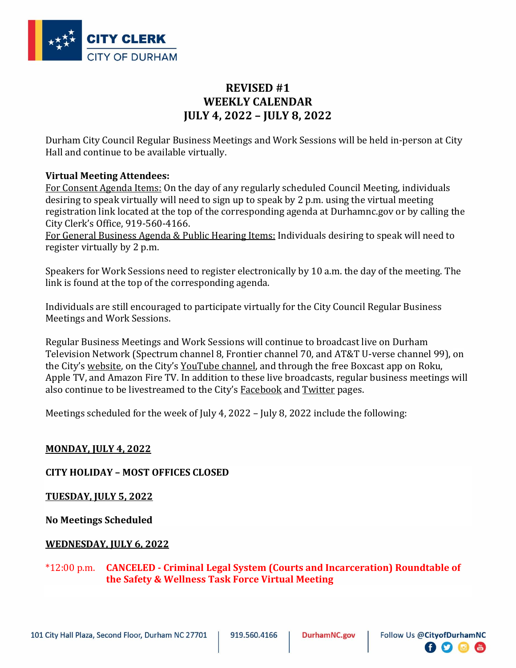

# **REVISED #1 WEEKLY CALENDAR JULY 4, 2022 – JULY 8, 2022**

Durham City Council Regular Business Meetings and Work Sessions will be held in-person at City Hall and continue to be available virtually.

## **Virtual Meeting Attendees:**

For Consent Agenda Items: On the day of any regularly scheduled Council Meeting, individuals desiring to speak virtually will need to sign up to speak by 2 p.m. using the virtual meeting registration link located at the top of the corresponding agenda at Durhamnc.gov or by calling the City Clerk's Office, 919-560-4166.

For General Business Agenda & Public Hearing Items: Individuals desiring to speak will need to register virtually by 2 p.m.

Speakers for Work Sessions need to register electronically by 10 a.m. the day of the meeting. The link is found at the top of the corresponding agenda.

Individuals are still encouraged to participate virtually for the City Council Regular Business Meetings and Work Sessions.

Regular Business Meetings and Work Sessions will continue to broadcast live on Durham Television Network (Spectrum channel 8, Frontier channel 70, and AT&T U-verse channel 99), on the City's [website](https://durham.granicus.com/player/camera/2?publish_id=6), on the City's [YouTube channel,](https://www.youtube.com/CityofDurhamNC) and through the free Boxcast app on Roku, Apple TV, and Amazon Fire TV. In addition to these live broadcasts, regular business meetings will also continue to be livestreamed to the City's [Facebook](https://www.facebook.com/CityofDurhamNC/) and [Twitter](https://twitter.com/CityofDurhamNC) pages.

Meetings scheduled for the week of July 4, 2022 – July 8, 2022 include the following:

# **MONDAY, JULY 4, 2022**

## **CITY HOLIDAY – MOST OFFICES CLOSED**

**TUESDAY, JULY 5, 2022**

**No Meetings Scheduled**

## **WEDNESDAY, JULY 6, 2022**

\*12:00 p.m. **CANCELED - Criminal Legal System (Courts and Incarceration) Roundtable of the Safety & Wellness Task Force Virtual Meeting**

日夕回圈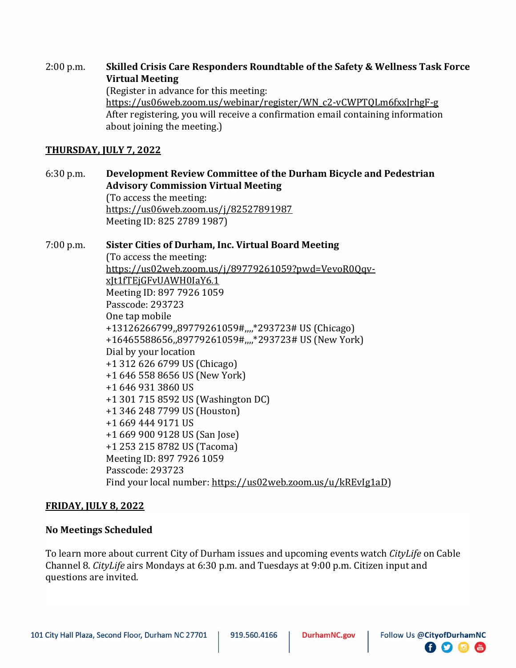#### 2:00 p.m. **Skilled Crisis Care Responders Roundtable of the Safety & Wellness Task Force Virtual Meeting** (Register in advance for this meeting: [https://us06web.zoom.us/webinar/register/WN\\_c2-vCWPTQLm6fxxJrhgF-g](https://us06web.zoom.us/webinar/register/WN_c2-vCWPTQLm6fxxJrhgF-g)

After registering, you will receive a confirmation email containing information about joining the meeting.)

## **THURSDAY, JULY 7, 2022**

## 6:30 p.m. **Development Review Committee of the Durham Bicycle and Pedestrian Advisory Commission Virtual Meeting**

(To access the meeting: <https://us06web.zoom.us/j/82527891987> Meeting ID: 825 2789 1987)

## 7:00 p.m. **Sister Cities of Durham, Inc. Virtual Board Meeting**

(To access the meeting: [https://us02web.zoom.us/j/89779261059?pwd=VevoR0Qqv](https://us02web.zoom.us/j/89779261059?pwd=VevoR0Qqv-xJt1fTEjGFvUAWH0IaY6.1)[xJt1fTEjGFvUAWH0IaY6.1](https://us02web.zoom.us/j/89779261059?pwd=VevoR0Qqv-xJt1fTEjGFvUAWH0IaY6.1) Meeting ID: 897 7926 1059 Passcode: 293723 One tap mobile +13126266799,,89779261059#,,,,\*293723# US (Chicago) +16465588656,,89779261059#,,,,\*293723# US (New York) Dial by your location +1 312 626 6799 US (Chicago) +1 646 558 8656 US (New York) +1 646 931 3860 US +1 301 715 8592 US (Washington DC) +1 346 248 7799 US (Houston) +1 669 444 9171 US +1 669 900 9128 US (San Jose) +1 253 215 8782 US (Tacoma) Meeting ID: 897 7926 1059 Passcode: 293723 Find your local number: [https://us02web.zoom.us/u/kREvIg1aD\)](https://us02web.zoom.us/u/kREvIg1aD)

#### **FRIDAY, JULY 8, 2022**

#### **No Meetings Scheduled**

To learn more about current City of Durham issues and upcoming events watch *CityLife* on Cable Channel 8. *CityLife* airs Mondays at 6:30 p.m. and Tuesdays at 9:00 p.m. Citizen input and questions are invited.